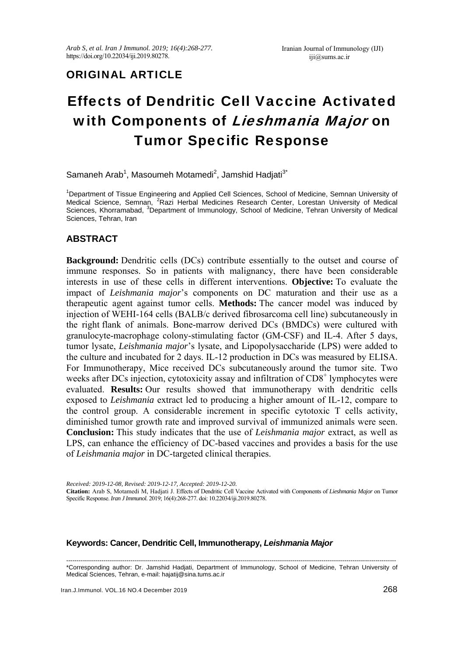## ORIGINAL ARTICLE

# Effects of Dendritic Cell Vaccine Activated with Components of Lieshmania Major on Tumor Specific Response

Samaneh Arab<sup>1</sup>, Masoumeh Motamedi<sup>2</sup>, Jamshid Hadjati<sup>3\*</sup>

<sup>1</sup>Department of Tissue Engineering and Applied Cell Sciences, School of Medicine, Semnan University of Medical Science, Semnan, <sup>2</sup>Razi Herbal Medicines Research Center, Lorestan University of Medical Sciences, Khorramabad, <sup>3</sup>Department of Immunology, School of Medicine, Tehran University of Medical Sciences, Tehran, Iran

## **ABSTRACT**

**Background:** Dendritic cells (DCs) contribute essentially to the outset and course of immune responses. So in patients with malignancy, there have been considerable interests in use of these cells in different interventions. **Objective:** To evaluate the impact of *Leishmania major*'s components on DC maturation and their use as a therapeutic agent against tumor cells. **Methods:** The cancer model was induced by injection of WEHI-164 cells (BALB/c derived fibrosarcoma cell line) subcutaneously in the right flank of animals. Bone-marrow derived DCs (BMDCs) were cultured with granulocyte-macrophage colony-stimulating factor (GM-CSF) and IL-4. After 5 days, tumor lysate, *Leishmania major*'s lysate, and Lipopolysaccharide (LPS) were added to the culture and incubated for 2 days. IL-12 production in DCs was measured by ELISA. For Immunotherapy, Mice received DCs subcutaneously around the tumor site. Two weeks after DCs injection, cytotoxicity assay and infiltration of CD8<sup>+</sup> lymphocytes were evaluated. **Results:** Our results showed that immunotherapy with dendritic cells exposed to *Leishmania* extract led to producing a higher amount of IL-12, compare to the control group. A considerable increment in specific cytotoxic T cells activity, diminished tumor growth rate and improved survival of immunized animals were seen. **Conclusion:** This study indicates that the use of *Leishmania major* extract, as well as LPS, can enhance the efficiency of DC-based vaccines and provides a basis for the use of *Leishmania major* in DC-targeted clinical therapies.

*Received: 2019-12-08, Revised: 2019-12-17, Accepted: 2019-12-20.*  **Citation:** Arab S, Motamedi M, Hadjati J. Effects of Dendritic Cell Vaccine Activated with Components of *Lieshmania Major* on Tumor Specific Response. *Iran J Immunol.* 2019; 16(4):268-277. doi: 10.22034/iji.2019.80278.

#### **Keywords: Cancer, Dendritic Cell, Immunotherapy,** *Leishmania Major*

--------------------------------------------------------------------------------------------------------------------------------------------------------------- \*Corresponding author: Dr. Jamshid Hadjati, Department of Immunology, School of Medicine, Tehran University of Medical Sciences, Tehran, e-mail: hajatij@sina.tums.ac.ir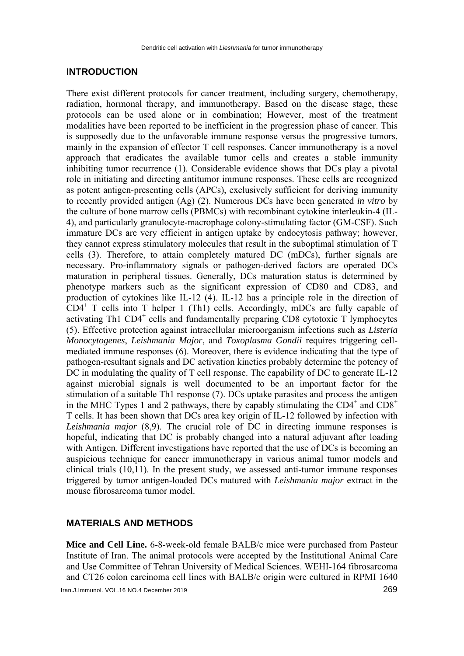#### **INTRODUCTION**

There exist different protocols for cancer treatment, including surgery, chemotherapy, radiation, hormonal therapy, and immunotherapy. Based on the disease stage, these protocols can be used alone or in combination; However, most of the treatment modalities have been reported to be inefficient in the progression phase of cancer. This is supposedly due to the unfavorable immune response versus the progressive tumors, mainly in the expansion of effector T cell responses. Cancer immunotherapy is a novel approach that eradicates the available tumor cells and creates a stable immunity inhibiting tumor recurrence (1). Considerable evidence shows that DCs play a pivotal role in initiating and directing antitumor immune responses. These cells are recognized as potent antigen-presenting cells (APCs), exclusively sufficient for deriving immunity to recently provided antigen (Ag) (2). Numerous DCs have been generated *in vitro* by the culture of bone marrow cells (PBMCs) with recombinant cytokine interleukin-4 (IL-4), and particularly granulocyte-macrophage colony-stimulating factor (GM-CSF). Such immature DCs are very efficient in antigen uptake by endocytosis pathway; however, they cannot express stimulatory molecules that result in the suboptimal stimulation of T cells (3). Therefore, to attain completely matured DC (mDCs), further signals are necessary. Pro-inflammatory signals or pathogen-derived factors are operated DCs maturation in peripheral tissues. Generally, DCs maturation status is determined by phenotype markers such as the significant expression of CD80 and CD83, and production of cytokines like IL-12 (4). IL-12 has a principle role in the direction of CD4<sup>+</sup> T cells into T helper 1 (Th1) cells. Accordingly, mDCs are fully capable of activating Th1 CD4<sup>+</sup> cells and fundamentally preparing CD8 cytotoxic T lymphocytes (5). Effective protection against intracellular microorganism infections such as *Listeria Monocytogenes*, *Leishmania Major*, and *Toxoplasma Gondii* requires triggering cellmediated immune responses (6). Moreover, there is evidence indicating that the type of pathogen-resultant signals and DC activation kinetics probably determine the potency of DC in modulating the quality of T cell response. The capability of DC to generate IL-12 against microbial signals is well documented to be an important factor for the stimulation of a suitable Th1 response (7). DCs uptake parasites and process the antigen in the MHC Types 1 and 2 pathways, there by capably stimulating the  $CD4^+$  and  $CD8^+$ T cells. It has been shown that DCs area key origin of IL-12 followed by infection with *Leishmania major* (8,9). The crucial role of DC in directing immune responses is hopeful, indicating that DC is probably changed into a natural adjuvant after loading with Antigen. Different investigations have reported that the use of DCs is becoming an auspicious technique for cancer immunotherapy in various animal tumor models and clinical trials (10,11). In the present study, we assessed anti-tumor immune responses triggered by tumor antigen-loaded DCs matured with *Leishmania major* extract in the mouse fibrosarcoma tumor model.

#### **MATERIALS AND METHODS**

**Mice and Cell Line.** 6-8-week-old female BALB/c mice were purchased from Pasteur Institute of Iran. The animal protocols were accepted by the Institutional Animal Care and Use Committee of Tehran University of Medical Sciences. WEHI-164 fibrosarcoma and CT26 colon carcinoma cell lines with BALB/c origin were cultured in RPMI 1640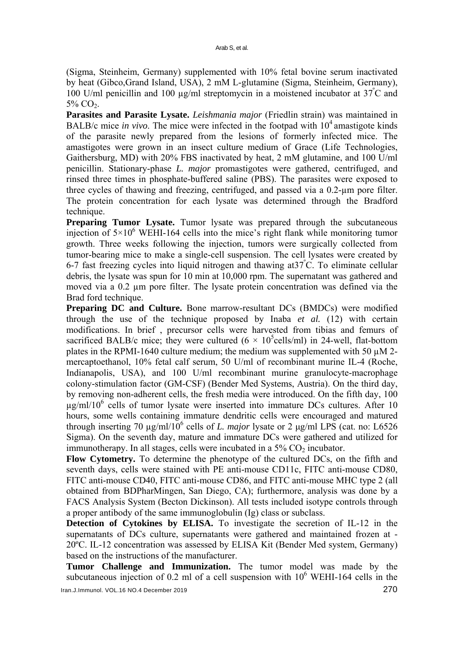(Sigma, Steinheim, Germany) supplemented with 10% fetal bovine serum inactivated by heat (Gibco,Grand Island, USA), 2 mM L-glutamine (Sigma, Steinheim, Germany), 100 U/ml penicillin and 100 µg/ml streptomycin in a moistened incubator at 37º C and  $5\%$  CO<sub>2</sub>.

**Parasites and Parasite Lysate.** *Leishmania major* (Friedlin strain) was maintained in BALB/c mice *in vivo*. The mice were infected in the footpad with  $10<sup>4</sup>$  amastigote kinds of the parasite newly prepared from the lesions of formerly infected mice. The amastigotes were grown in an insect culture medium of Grace (Life Technologies, Gaithersburg, MD) with 20% FBS inactivated by heat, 2 mM glutamine, and 100 U/ml penicillin. Stationary-phase *L. major* promastigotes were gathered, centrifuged, and rinsed three times in phosphate-buffered saline (PBS). The parasites were exposed to three cycles of thawing and freezing, centrifuged, and passed via a 0.2-µm pore filter. The protein concentration for each lysate was determined through the Bradford technique.

**Preparing Tumor Lysate.** Tumor lysate was prepared through the subcutaneous injection of  $5 \times 10^6$  WEHI-164 cells into the mice's right flank while monitoring tumor growth. Three weeks following the injection, tumors were surgically collected from tumor-bearing mice to make a single-cell suspension. The cell lysates were created by 6-7 fast freezing cycles into liquid nitrogen and thawing at37<sup>º</sup> C. To eliminate cellular debris, the lysate was spun for 10 min at 10,000 rpm. The supernatant was gathered and moved via a 0.2 um pore filter. The lysate protein concentration was defined via the Brad ford technique.

**Preparing DC and Culture.** Bone marrow-resultant DCs (BMDCs) were modified through the use of the technique proposed by Inaba *et al.* (12) with certain modifications. In brief , precursor cells were harvested from tibias and femurs of sacrificed BALB/c mice; they were cultured  $(6 \times 10^5$ cells/ml) in 24-well, flat-bottom plates in the RPMI-1640 culture medium; the medium was supplemented with 50  $\mu$ M 2mercaptoethanol, 10% fetal calf serum, 50 U/ml of recombinant murine IL-4 (Roche, Indianapolis, USA), and 100 U/ml recombinant murine granulocyte-macrophage colony-stimulation factor (GM-CSF) (Bender Med Systems, Austria). On the third day, by removing non-adherent cells, the fresh media were introduced. On the fifth day, 100 µg/ml/106 cells of tumor lysate were inserted into immature DCs cultures. After 10 hours, some wells containing immature dendritic cells were encouraged and matured through inserting 70  $\mu$ g/ml/10<sup>6</sup> cells of *L. major* lysate or 2  $\mu$ g/ml LPS (cat. no: L6526 Sigma). On the seventh day, mature and immature DCs were gathered and utilized for immunotherapy. In all stages, cells were incubated in a  $5\%$  CO<sub>2</sub> incubator.

**Flow Cytometry.** To determine the phenotype of the cultured DCs, on the fifth and seventh days, cells were stained with PE anti-mouse CD11c, FITC anti-mouse CD80, FITC anti-mouse CD40, FITC anti-mouse CD86, and FITC anti-mouse MHC type 2 (all obtained from BDPharMingen, San Diego, CA); furthermore, analysis was done by a FACS Analysis System (Becton Dickinson). All tests included isotype controls through a proper antibody of the same immunoglobulin (Ig) class or subclass.

**Detection of Cytokines by ELISA.** To investigate the secretion of IL-12 in the supernatants of DCs culture, supernatants were gathered and maintained frozen at - 20ºC. IL-12 concentration was assessed by ELISA Kit (Bender Med system, Germany) based on the instructions of the manufacturer.

**Tumor Challenge and Immunization.** The tumor model was made by the subcutaneous injection of 0.2 ml of a cell suspension with  $10^6$  WEHI-164 cells in the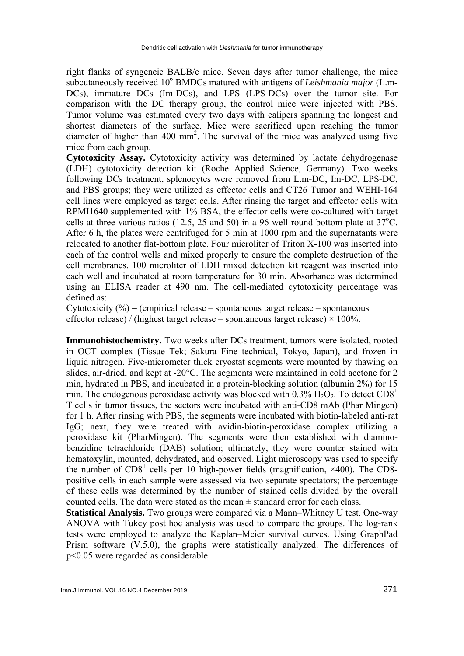right flanks of syngeneic BALB/c mice. Seven days after tumor challenge, the mice subcutaneously received 10<sup>6</sup> BMDCs matured with antigens of *Leishmania major* (L.m-DCs), immature DCs (Im-DCs), and LPS (LPS-DCs) over the tumor site. For comparison with the DC therapy group, the control mice were injected with PBS. Tumor volume was estimated every two days with calipers spanning the longest and shortest diameters of the surface. Mice were sacrificed upon reaching the tumor diameter of higher than 400 mm<sup>2</sup>. The survival of the mice was analyzed using five mice from each group.

**Cytotoxicity Assay.** Cytotoxicity activity was determined by lactate dehydrogenase (LDH) cytotoxicity detection kit (Roche Applied Science, Germany). Two weeks following DCs treatment, splenocytes were removed from L.m-DC, Im-DC, LPS-DC, and PBS groups; they were utilized as effector cells and CT26 Tumor and WEHI-164 cell lines were employed as target cells. After rinsing the target and effector cells with RPMI1640 supplemented with 1% BSA, the effector cells were co-cultured with target cells at three various ratios (12.5, 25 and 50) in a 96-well round-bottom plate at  $37^{\circ}$ C. After 6 h, the plates were centrifuged for 5 min at 1000 rpm and the supernatants were relocated to another flat-bottom plate. Four microliter of Triton X-100 was inserted into each of the control wells and mixed properly to ensure the complete destruction of the cell membranes. 100 microliter of LDH mixed detection kit reagent was inserted into each well and incubated at room temperature for 30 min. Absorbance was determined using an ELISA reader at 490 nm. The cell-mediated cytotoxicity percentage was defined as:

Cytotoxicity  $(\%)$  = (empirical release – spontaneous target release – spontaneous effector release) / (highest target release – spontaneous target release)  $\times$  100%.

**Immunohistochemistry.** Two weeks after DCs treatment, tumors were isolated, rooted in OCT complex (Tissue Tek; Sakura Fine technical, Tokyo, Japan), and frozen in liquid nitrogen. Five-micrometer thick cryostat segments were mounted by thawing on slides, air-dried, and kept at -20°C. The segments were maintained in cold acetone for 2 min, hydrated in PBS, and incubated in a protein-blocking solution (albumin 2%) for 15 min. The endogenous peroxidase activity was blocked with  $0.3\%$  H<sub>2</sub>O<sub>2</sub>. To detect CD8<sup>+</sup> T cells in tumor tissues, the sectors were incubated with anti-CD8 mAb (Phar Mingen) for 1 h. After rinsing with PBS, the segments were incubated with biotin-labeled anti-rat IgG; next, they were treated with avidin-biotin-peroxidase complex utilizing a peroxidase kit (PharMingen). The segments were then established with diaminobenzidine tetrachloride (DAB) solution; ultimately, they were counter stained with hematoxylin, mounted, dehydrated, and observed. Light microscopy was used to specify the number of  $CD8<sup>+</sup>$  cells per 10 high-power fields (magnification,  $\times$ 400). The CD8positive cells in each sample were assessed via two separate spectators; the percentage of these cells was determined by the number of stained cells divided by the overall counted cells. The data were stated as the mean  $\pm$  standard error for each class.

**Statistical Analysis.** Two groups were compared via a Mann–Whitney U test. One-way ANOVA with Tukey post hoc analysis was used to compare the groups. The log-rank tests were employed to analyze the Kaplan–Meier survival curves. Using GraphPad Prism software (V.5.0), the graphs were statistically analyzed. The differences of p<0.05 were regarded as considerable.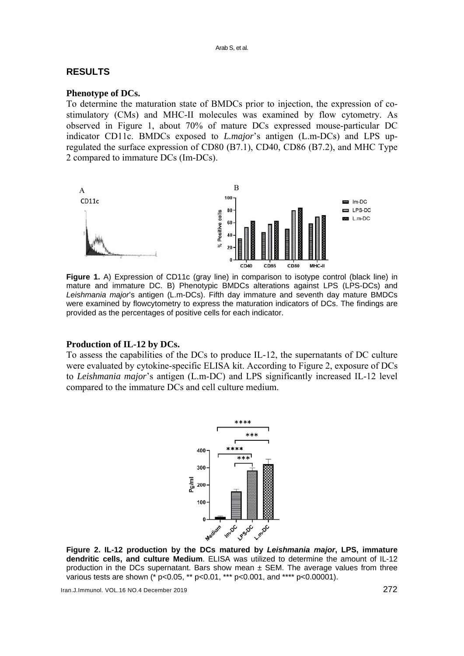## **RESULTS**

## **Phenotype of DCs.**

To determine the maturation state of BMDCs prior to injection, the expression of costimulatory (CMs) and MHC-II molecules was examined by flow cytometry. As observed in Figure 1, about 70% of mature DCs expressed mouse-particular DC indicator CD11c. BMDCs exposed to *L.major*'s antigen (L.m-DCs) and LPS upregulated the surface expression of CD80 (B7.1), CD40, CD86 (B7.2), and MHC Type 2 compared to immature DCs (Im-DCs).



Figure 1. A) Expression of CD11c (gray line) in comparison to isotype control (black line) in mature and immature DC. B) Phenotypic BMDCs alterations against LPS (LPS-DCs) and *Leishmania major*'s antigen (L.m-DCs). Fifth day immature and seventh day mature BMDCs were examined by flowcytometry to express the maturation indicators of DCs. The findings are provided as the percentages of positive cells for each indicator.

#### **Production of IL-12 by DCs.**

To assess the capabilities of the DCs to produce IL-12, the supernatants of DC culture were evaluated by cytokine-specific ELISA kit. According to Figure 2, exposure of DCs to *Leishmania major*'s antigen (L.m-DC) and LPS significantly increased IL-12 level compared to the immature DCs and cell culture medium.



**Figure 2. IL-12 production by the DCs matured by** *Leishmania major***, LPS, immature dendritic cells, and culture Medium**. ELISA was utilized to determine the amount of IL-12 production in the DCs supernatant. Bars show mean  $\pm$  SEM. The average values from three various tests are shown (\* p<0.05, \*\* p<0.01, \*\*\* p<0.001, and \*\*\*\* p<0.00001).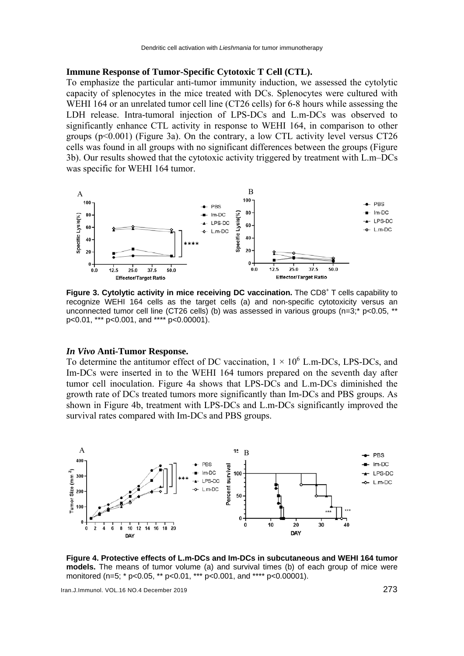#### **Immune Response of Tumor-Specific Cytotoxic T Cell (CTL).**

To emphasize the particular anti-tumor immunity induction, we assessed the cytolytic capacity of splenocytes in the mice treated with DCs. Splenocytes were cultured with WEHI 164 or an unrelated tumor cell line (CT26 cells) for 6-8 hours while assessing the LDH release. Intra-tumoral injection of LPS-DCs and L.m-DCs was observed to significantly enhance CTL activity in response to WEHI 164, in comparison to other groups  $(p<0.001)$  (Figure 3a). On the contrary, a low CTL activity level versus CT26 cells was found in all groups with no significant differences between the groups (Figure 3b). Our results showed that the cytotoxic activity triggered by treatment with L.m–DCs was specific for WEHI 164 tumor.



Figure 3. Cytolytic activity in mice receiving DC vaccination. The CD8<sup>+</sup> T cells capability to recognize WEHI 164 cells as the target cells (a) and non-specific cytotoxicity versus an unconnected tumor cell line (CT26 cells) (b) was assessed in various groups (n=3;\* p<0.05, \*\* p<0.01, \*\*\* p<0.001, and \*\*\*\* p<0.00001).

#### *In Vivo* **Anti-Tumor Response.**

To determine the antitumor effect of DC vaccination,  $1 \times 10^6$  L.m-DCs, LPS-DCs, and Im-DCs were inserted in to the WEHI 164 tumors prepared on the seventh day after tumor cell inoculation. Figure 4a shows that LPS-DCs and L.m-DCs diminished the growth rate of DCs treated tumors more significantly than Im-DCs and PBS groups. As shown in Figure 4b, treatment with LPS-DCs and L.m-DCs significantly improved the survival rates compared with Im-DCs and PBS groups.



**Figure 4. Protective effects of L.m-DCs and Im-DCs in subcutaneous and WEHI 164 tumor models.** The means of tumor volume (a) and survival times (b) of each group of mice were monitored (n=5; \* p<0.05, \*\* p<0.01, \*\*\* p<0.001, and \*\*\*\* p<0.00001).

Iran.J.Immunol. VOL.16 NO.4 December 2019 273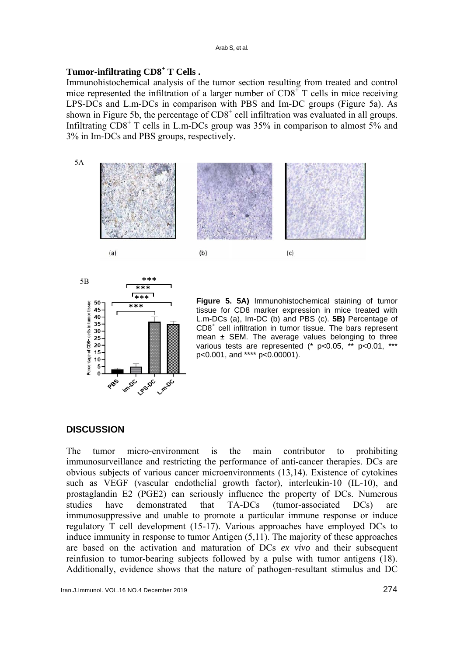## **Tumor-infiltrating CD8<sup>+</sup> T Cells .**

Immunohistochemical analysis of the tumor section resulting from treated and control mice represented the infiltration of a larger number of  $CDS<sup>+</sup>$  T cells in mice receiving LPS-DCs and L.m-DCs in comparison with PBS and Im-DC groups (Figure 5a). As shown in Figure 5b, the percentage of  $CD8<sup>+</sup>$  cell infiltration was evaluated in all groups. Infiltrating CD8<sup>+</sup> T cells in L.m-DCs group was 35% in comparison to almost 5% and 3% in Im-DCs and PBS groups, respectively.





**Figure 5. 5A)** Immunohistochemical staining of tumor tissue for CD8 marker expression in mice treated with L.m-DCs (a), Im-DC (b) and PBS (c). **5B)** Percentage of CD8<sup>+</sup> cell infiltration in tumor tissue. The bars represent mean  $\pm$  SEM. The average values belonging to three various tests are represented (\* p<0.05, \*\* p<0.01, \*\* p<0.001, and \*\*\*\* p<0.00001).

## **DISCUSSION**

The tumor micro-environment is the main contributor to prohibiting immunosurveillance and restricting the performance of anti-cancer therapies. DCs are obvious subjects of various cancer microenvironments (13,14). Existence of cytokines such as VEGF (vascular endothelial growth factor), interleukin-10 (IL-10), and prostaglandin E2 (PGE2) can seriously influence the property of DCs. Numerous studies have demonstrated that TA-DCs (tumor-associated DCs) are immunosuppressive and unable to promote a particular immune response or induce regulatory T cell development (15-17). Various approaches have employed DCs to induce immunity in response to tumor Antigen (5,11). The majority of these approaches are based on the activation and maturation of DCs *ex vivo* and their subsequent reinfusion to tumor-bearing subjects followed by a pulse with tumor antigens (18). Additionally, evidence shows that the nature of pathogen-resultant stimulus and DC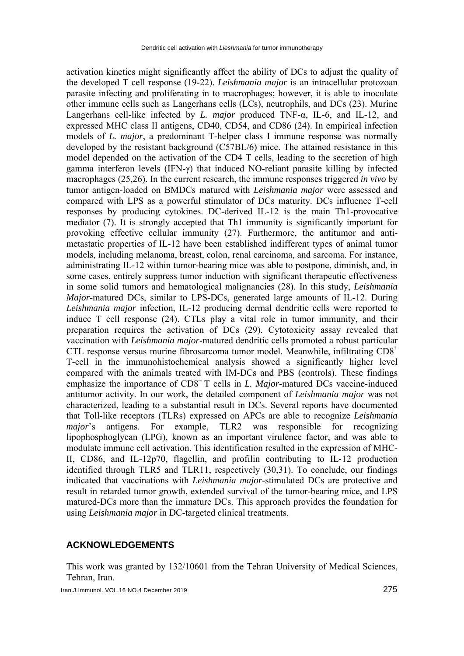activation kinetics might significantly affect the ability of DCs to adjust the quality of the developed T cell response (19-22). *Leishmania major* is an intracellular protozoan parasite infecting and proliferating in to macrophages; however, it is able to inoculate other immune cells such as Langerhans cells (LCs), neutrophils, and DCs (23). Murine Langerhans cell-like infected by *L. major* produced TNF-α, IL-6, and IL-12, and expressed MHC class II antigens, CD40, CD54, and CD86 (24). In empirical infection models of *L. major*, a predominant T-helper class I immune response was normally developed by the resistant background (C57BL/6) mice. The attained resistance in this model depended on the activation of the CD4 T cells, leading to the secretion of high gamma interferon levels (IFN-γ) that induced NO-reliant parasite killing by infected macrophages (25,26). In the current research, the immune responses triggered *in vivo* by tumor antigen-loaded on BMDCs matured with *Leishmania major* were assessed and compared with LPS as a powerful stimulator of DCs maturity. DCs influence T-cell responses by producing cytokines. DC-derived IL-12 is the main Th1-provocative mediator (7). It is strongly accepted that Th1 immunity is significantly important for provoking effective cellular immunity (27). Furthermore, the antitumor and antimetastatic properties of IL-12 have been established indifferent types of animal tumor models, including melanoma, breast, colon, renal carcinoma, and sarcoma. For instance, administrating IL-12 within tumor-bearing mice was able to postpone, diminish, and, in some cases, entirely suppress tumor induction with significant therapeutic effectiveness in some solid tumors and hematological malignancies (28). In this study, *Leishmania Major*-matured DCs, similar to LPS-DCs, generated large amounts of IL-12. During *Leishmania major* infection, IL-12 producing dermal dendritic cells were reported to induce T cell response (24). CTLs play a vital role in tumor immunity, and their preparation requires the activation of DCs (29). Cytotoxicity assay revealed that vaccination with *Leishmania major*-matured dendritic cells promoted a robust particular CTL response versus murine fibrosarcoma tumor model. Meanwhile, infiltrating  $CD8<sup>+</sup>$ T-cell in the immunohistochemical analysis showed a significantly higher level compared with the animals treated with IM-DCs and PBS (controls). These findings emphasize the importance of CD8<sup>+</sup> T cells in *L. Major*-matured DCs vaccine-induced antitumor activity. In our work, the detailed component of *Leishmania major* was not characterized, leading to a substantial result in DCs. Several reports have documented that Toll-like receptors (TLRs) expressed on APCs are able to recognize *Leishmania major*'s antigens. For example, TLR2 was responsible for recognizing lipophosphoglycan (LPG), known as an important virulence factor, and was able to modulate immune cell activation. This identification resulted in the expression of MHC-II, CD86, and IL-12p70, flagellin, and profilin contributing to IL‐12 production identified through TLR5 and TLR11, respectively (30,31). To conclude, our findings indicated that vaccinations with *Leishmania major*-stimulated DCs are protective and result in retarded tumor growth, extended survival of the tumor-bearing mice, and LPS matured-DCs more than the immature DCs. This approach provides the foundation for using *Leishmania major* in DC-targeted clinical treatments.

#### **ACKNOWLEDGEMENTS**

This work was granted by 132/10601 from the Tehran University of Medical Sciences, Tehran, Iran.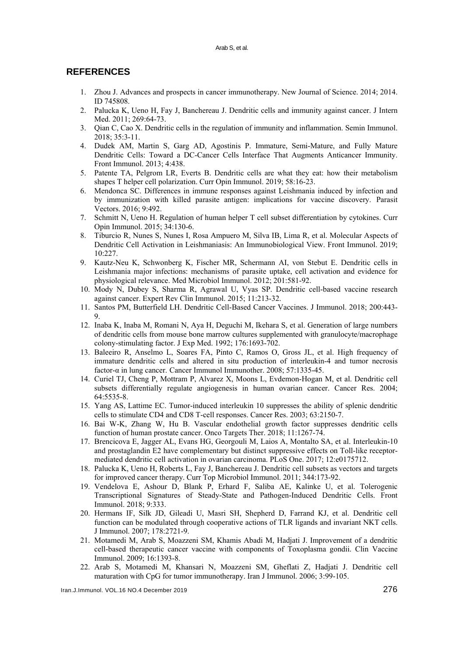## **REFERENCES**

- 1. Zhou J. Advances and prospects in cancer immunotherapy. New Journal of Science. 2014; 2014. ID 745808.
- 2. Palucka K, Ueno H, Fay J, Banchereau J. Dendritic cells and immunity against cancer. J Intern Med. 2011; 269:64-73.
- 3. Qian C, Cao X. Dendritic cells in the regulation of immunity and inflammation. Semin Immunol. 2018; 35:3-11.
- 4. Dudek AM, Martin S, Garg AD, Agostinis P. Immature, Semi-Mature, and Fully Mature Dendritic Cells: Toward a DC-Cancer Cells Interface That Augments Anticancer Immunity. Front Immunol. 2013; 4:438.
- 5. Patente TA, Pelgrom LR, Everts B. Dendritic cells are what they eat: how their metabolism shapes T helper cell polarization. Curr Opin Immunol. 2019; 58:16-23.
- 6. Mendonca SC. Differences in immune responses against Leishmania induced by infection and by immunization with killed parasite antigen: implications for vaccine discovery. Parasit Vectors. 2016; 9:492.
- 7. Schmitt N, Ueno H. Regulation of human helper T cell subset differentiation by cytokines. Curr Opin Immunol. 2015; 34:130-6.
- 8. Tiburcio R, Nunes S, Nunes I, Rosa Ampuero M, Silva IB, Lima R, et al. Molecular Aspects of Dendritic Cell Activation in Leishmaniasis: An Immunobiological View. Front Immunol. 2019; 10:227.
- 9. Kautz-Neu K, Schwonberg K, Fischer MR, Schermann AI, von Stebut E. Dendritic cells in Leishmania major infections: mechanisms of parasite uptake, cell activation and evidence for physiological relevance. Med Microbiol Immunol. 2012; 201:581-92.
- 10. Mody N, Dubey S, Sharma R, Agrawal U, Vyas SP. Dendritic cell-based vaccine research against cancer. Expert Rev Clin Immunol. 2015; 11:213-32.
- 11. Santos PM, Butterfield LH. Dendritic Cell-Based Cancer Vaccines. J Immunol. 2018; 200:443-  $\Omega$
- 12. Inaba K, Inaba M, Romani N, Aya H, Deguchi M, Ikehara S, et al. Generation of large numbers of dendritic cells from mouse bone marrow cultures supplemented with granulocyte/macrophage colony-stimulating factor. J Exp Med. 1992; 176:1693-702.
- 13. Baleeiro R, Anselmo L, Soares FA, Pinto C, Ramos O, Gross JL, et al. High frequency of immature dendritic cells and altered in situ production of interleukin-4 and tumor necrosis factor-α in lung cancer. Cancer Immunol Immunother. 2008; 57:1335-45.
- 14. Curiel TJ, Cheng P, Mottram P, Alvarez X, Moons L, Evdemon-Hogan M, et al. Dendritic cell subsets differentially regulate angiogenesis in human ovarian cancer. Cancer Res. 2004; 64:5535-8.
- 15. Yang AS, Lattime EC. Tumor-induced interleukin 10 suppresses the ability of splenic dendritic cells to stimulate CD4 and CD8 T-cell responses. Cancer Res. 2003; 63:2150-7.
- 16. Bai W-K, Zhang W, Hu B. Vascular endothelial growth factor suppresses dendritic cells function of human prostate cancer. Onco Targets Ther. 2018; 11:1267-74.
- 17. Brencicova E, Jagger AL, Evans HG, Georgouli M, Laios A, Montalto SA, et al. Interleukin-10 and prostaglandin E2 have complementary but distinct suppressive effects on Toll-like receptormediated dendritic cell activation in ovarian carcinoma. PLoS One. 2017; 12:e0175712.
- 18. Palucka K, Ueno H, Roberts L, Fay J, Banchereau J. Dendritic cell subsets as vectors and targets for improved cancer therapy. Curr Top Microbiol Immunol. 2011; 344:173-92.
- 19. Vendelova E, Ashour D, Blank P, Erhard F, Saliba AE, Kalinke U, et al. Tolerogenic Transcriptional Signatures of Steady-State and Pathogen-Induced Dendritic Cells. Front Immunol. 2018; 9:333.
- 20. Hermans IF, Silk JD, Gileadi U, Masri SH, Shepherd D, Farrand KJ, et al. Dendritic cell function can be modulated through cooperative actions of TLR ligands and invariant NKT cells. J Immunol. 2007; 178:2721-9.
- 21. Motamedi M, Arab S, Moazzeni SM, Khamis Abadi M, Hadjati J. Improvement of a dendritic cell-based therapeutic cancer vaccine with components of Toxoplasma gondii. Clin Vaccine Immunol. 2009; 16:1393-8.
- 22. Arab S, Motamedi M, Khansari N, Moazzeni SM, Gheflati Z, Hadjati J. Dendritic cell maturation with CpG for tumor immunotherapy. Iran J Immunol. 2006; 3:99-105.